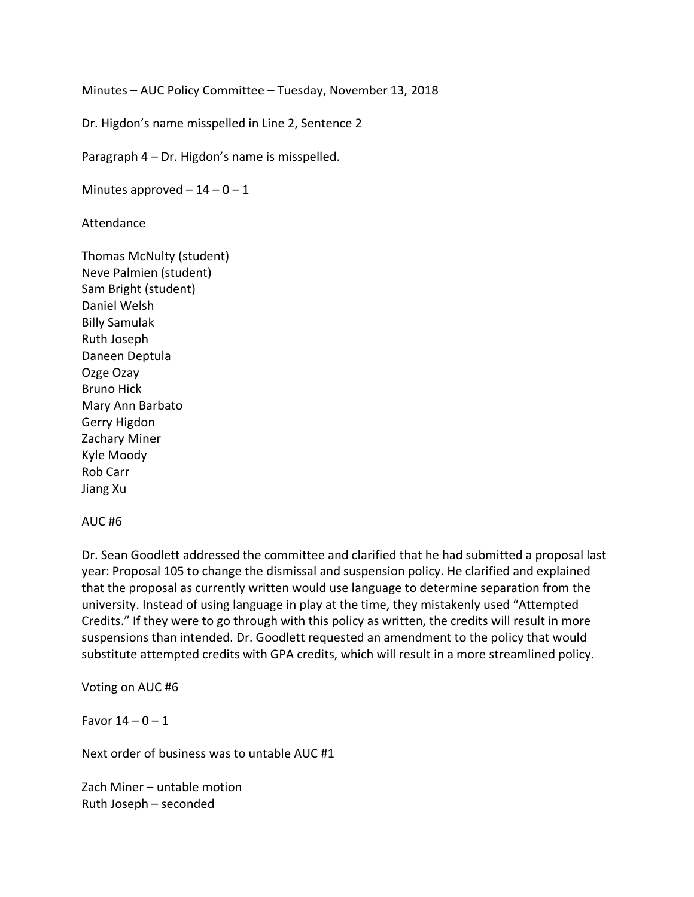Minutes – AUC Policy Committee – Tuesday, November 13, 2018

Dr. Higdon's name misspelled in Line 2, Sentence 2

Paragraph 4 – Dr. Higdon's name is misspelled.

Minutes approved  $-14 - 0 - 1$ 

Attendance

Thomas McNulty (student) Neve Palmien (student) Sam Bright (student) Daniel Welsh Billy Samulak Ruth Joseph Daneen Deptula Ozge Ozay Bruno Hick Mary Ann Barbato Gerry Higdon Zachary Miner Kyle Moody Rob Carr Jiang Xu

## AUC #6

Dr. Sean Goodlett addressed the committee and clarified that he had submitted a proposal last year: Proposal 105 to change the dismissal and suspension policy. He clarified and explained that the proposal as currently written would use language to determine separation from the university. Instead of using language in play at the time, they mistakenly used "Attempted Credits." If they were to go through with this policy as written, the credits will result in more suspensions than intended. Dr. Goodlett requested an amendment to the policy that would substitute attempted credits with GPA credits, which will result in a more streamlined policy.

Voting on AUC #6

Favor  $14 - 0 - 1$ 

Next order of business was to untable AUC #1

Zach Miner – untable motion Ruth Joseph – seconded